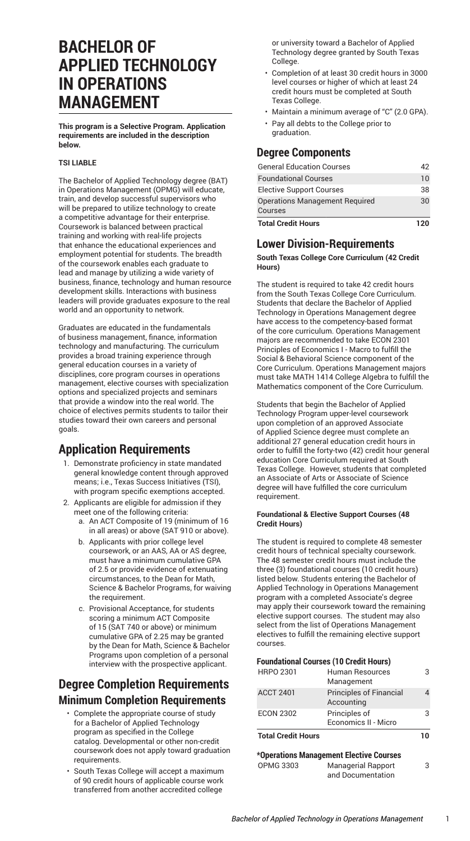# **BACHELOR OF APPLIED TECHNOLOGY IN OPERATIONS MANAGEMENT**

**This program is a Selective Program. Application requirements are included in the description below.**

#### **TSI LIABLE**

The Bachelor of Applied Technology degree (BAT) in Operations Management (OPMG) will educate, train, and develop successful supervisors who will be prepared to utilize technology to create a competitive advantage for their enterprise. Coursework is balanced between practical training and working with real-life projects that enhance the educational experiences and employment potential for students. The breadth of the coursework enables each graduate to lead and manage by utilizing a wide variety of business, finance, technology and human resource development skills. Interactions with business leaders will provide graduates exposure to the real world and an opportunity to network.

Graduates are educated in the fundamentals of business management, finance, information technology and manufacturing. The curriculum provides a broad training experience through general education courses in a variety of disciplines, core program courses in operations management, elective courses with specialization options and specialized projects and seminars that provide a window into the real world. The choice of electives permits students to tailor their studies toward their own careers and personal goals.

## **Application Requirements**

- 1. Demonstrate proficiency in state mandated general knowledge content through approved means; i.e., Texas Success Initiatives (TSI), with program specific exemptions accepted.
- 2. Applicants are eligible for admission if they meet one of the following criteria:
	- a. An ACT Composite of 19 (minimum of 16 in all areas) or above (SAT 910 or above).
	- b. Applicants with prior college level coursework, or an AAS, AA or AS degree, must have a minimum cumulative GPA of 2.5 or provide evidence of extenuating circumstances, to the Dean for Math, Science & Bachelor Programs, for waiving the requirement.
	- c. Provisional Acceptance, for students scoring a minimum ACT Composite of 15 (SAT 740 or above) or minimum cumulative GPA of 2.25 may be granted by the Dean for Math, Science & Bachelor Programs upon completion of a personal interview with the prospective applicant.

## **Degree Completion Requirements Minimum Completion Requirements**

- Complete the appropriate course of study for a Bachelor of Applied Technology program as specified in the College catalog. Developmental or other non-credit coursework does not apply toward graduation requirements.
- South Texas College will accept a maximum of 90 credit hours of applicable course work transferred from another accredited college

or university toward a Bachelor of Applied Technology degree granted by South Texas College.

- Completion of at least 30 credit hours in 3000 level courses or higher of which at least 24 credit hours must be completed at South Texas College.
- Maintain a minimum average of "C" (2.0 GPA).
- Pay all debts to the College prior to graduation.

## **Degree Components**

| <b>Total Credit Hours</b>                 | าวก |
|-------------------------------------------|-----|
| Operations Management Required<br>Courses | 30  |
| <b>Elective Support Courses</b>           | 38  |
| <b>Foundational Courses</b>               | 10  |
| <b>General Education Courses</b>          | 42  |

## **Lower Division-Requirements**

**South Texas College Core Curriculum (42 Credit Hours)**

The student is required to take 42 credit hours from the South Texas College Core [Curriculum](http://catalog.southtexascollege.edu/curriculum/core-curriculum/). Students that declare the Bachelor of Applied Technology in Operations Management degree have access to the competency-based format of the core curriculum. Operations Management majors are recommended to take ECON 2301 Principles of Economics I - Macro to fulfill the Social & Behavioral Science component of the Core Curriculum. Operations Management majors must take MATH 1414 College Algebra to fulfill the Mathematics component of the Core Curriculum.

Students that begin the Bachelor of Applied Technology Program upper-level coursework upon completion of an approved Associate of Applied Science degree must complete an additional 27 general education credit hours in order to fulfill the forty-two (42) credit hour general education Core Curriculum required at South Texas College. However, students that completed an Associate of Arts or Associate of Science degree will have fulfilled the core curriculum requirement.

#### **Foundational & Elective Support Courses (48 Credit Hours)**

The student is required to complete 48 semester credit hours of technical specialty coursework. The 48 semester credit hours must include the three (3) foundational courses (10 credit hours) listed below. Students entering the Bachelor of Applied Technology in Operations Management program with a completed Associate's degree may apply their coursework toward the remaining elective support courses. The student may also select from the list of Operations Management electives to fulfill the remaining elective support courses.

#### **Foundational Courses (10 Credit Hours)**

|                           | <b>+Onovationa Manonoment Flasting Corresponding</b> |    |
|---------------------------|------------------------------------------------------|----|
| <b>Total Credit Hours</b> |                                                      | 10 |
|                           | Economics II - Micro                                 |    |
| <b>ECON 2302</b>          | Principles of                                        | 3  |
| <b>ACCT 2401</b>          | <b>Principles of Financial</b><br>Accounting         | Δ  |
| <b>HRPO 2301</b>          | Human Resources<br>Management                        | 3  |

## **\*Operations Management Elective Courses**

| <b>OPMG 3303</b> | <b>Managerial Rapport</b> |  |
|------------------|---------------------------|--|
|                  | and Documentation         |  |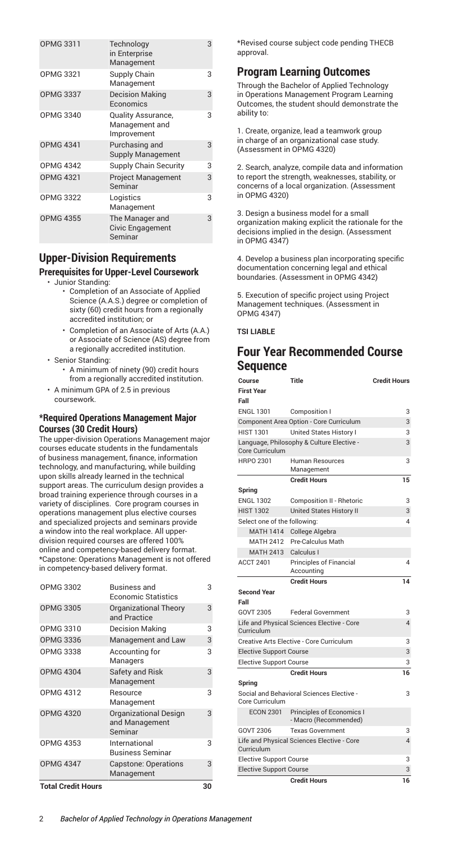| <b>OPMG 3311</b> | Technology<br>in Enterprise<br>Management                  | 3 |
|------------------|------------------------------------------------------------|---|
| <b>OPMG 3321</b> | Supply Chain<br>Management                                 | 3 |
| <b>OPMG 3337</b> | <b>Decision Making</b><br>Economics                        | 3 |
| <b>OPMG 3340</b> | <b>Quality Assurance,</b><br>Management and<br>Improvement | 3 |
| <b>OPMG 4341</b> | Purchasing and<br><b>Supply Management</b>                 | 3 |
| <b>OPMG 4342</b> | <b>Supply Chain Security</b>                               | 3 |
| <b>OPMG 4321</b> | <b>Project Management</b><br>Seminar                       | 3 |
| <b>OPMG 3322</b> | Logistics<br>Management                                    | 3 |
| <b>OPMG 4355</b> | The Manager and<br><b>Civic Engagement</b><br>Seminar      | 3 |

## **Upper-Division Requirements**

### **Prerequisites for Upper-Level Coursework**

- Junior Standing:
	- Completion of an Associate of Applied Science (A.A.S.) degree or completion of sixty (60) credit hours from a regionally accredited institution; or
	- Completion of an Associate of Arts (A.A.) or Associate of Science (AS) degree from a regionally accredited institution.
- Senior Standing:
	- A minimum of ninety (90) credit hours from a regionally accredited institution.
- A minimum GPA of 2.5 in previous coursework.

### **\*Required Operations Management Major Courses (30 Credit Hours)**

The upper-division Operations Management major courses educate students in the fundamentals of business management, finance, information technology, and manufacturing, while building upon skills already learned in the technical support areas. The curriculum design provides a broad training experience through courses in a variety of disciplines. Core program courses in operations management plus elective courses and specialized projects and seminars provide a window into the real workplace. All upperdivision required courses are offered 100% online and competency-based delivery format. \*Capstone: Operations Management is not offered in competency-based delivery format.

| <b>Total Credit Hours</b> |                                                           | 30 |
|---------------------------|-----------------------------------------------------------|----|
| <b>OPMG 4347</b>          | <b>Capstone: Operations</b><br>Management                 | 3  |
| <b>OPMG 4353</b>          | International<br>Business Seminar                         | 3  |
| <b>OPMG 4320</b>          | <b>Organizational Design</b><br>and Management<br>Seminar | 3  |
| OPMG 4312                 | Resource<br>Management                                    | 3  |
| <b>OPMG 4304</b>          | <b>Safety and Risk</b><br>Management                      | 3  |
| <b>OPMG 3338</b>          | Accounting for<br>Managers                                | 3  |
| <b>OPMG 3336</b>          | Management and Law                                        | 3  |
| OPMG 3310                 | <b>Decision Making</b>                                    | 3  |
| <b>OPMG 3305</b>          | <b>Organizational Theory</b><br>and Practice              | 3  |
| <b>OPMG 3302</b>          | Business and<br>Economic Statistics                       | 3  |

\*Revised course subject code pending THECB approval.

### **Program Learning Outcomes**

Through the Bachelor of Applied Technology in Operations Management Program Learning Outcomes, the student should demonstrate the ability to:

1. Create, organize, lead a teamwork group in charge of an organizational case study. (Assessment in OPMG 4320)

2. Search, analyze, compile data and information to report the strength, weaknesses, stability, or concerns of a local organization. (Assessment in OPMG 4320)

3. Design a business model for a small organization making explicit the rationale for the decisions implied in the design. (Assessment in OPMG 4347)

4. Develop a business plan incorporating specific documentation concerning legal and ethical boundaries. (Assessment in OPMG 4342)

5. Execution of specific project using Project Management techniques. (Assessment in OPMG 4347)

### **TSI LIABLE**

## **Four Year Recommended Course Sequence**

| Course                         | Title                                                     | <b>Credit Hours</b> |
|--------------------------------|-----------------------------------------------------------|---------------------|
| <b>First Year</b>              |                                                           |                     |
| Fall                           |                                                           |                     |
| <b>ENGL 1301</b>               | Composition I                                             | 3                   |
|                                | Component Area Option - Core Curriculum                   | 3                   |
| <b>HIST 1301</b>               | United States History I                                   | 3                   |
| Core Curriculum                | Language, Philosophy & Culture Elective -                 | 3                   |
| HRPO 2301                      | <b>Human Resources</b><br>Management                      | 3                   |
|                                | <b>Credit Hours</b>                                       | 15                  |
| Spring                         |                                                           |                     |
| <b>ENGL 1302</b>               | Composition II - Rhetoric                                 | 3                   |
| <b>HIST 1302</b>               | United States History II                                  | 3                   |
| Select one of the following:   |                                                           | 4                   |
| <b>MATH 1414</b>               | College Algebra                                           |                     |
| <b>MATH 2412</b>               | Pre-Calculus Math                                         |                     |
| <b>MATH 2413</b>               | Calculus I                                                |                     |
| <b>ACCT 2401</b>               | Principles of Financial<br>Accounting                     | 4                   |
|                                | <b>Credit Hours</b>                                       | 14                  |
| <b>Second Year</b>             |                                                           |                     |
| Fall                           |                                                           |                     |
| <b>GOVT 2305</b>               | <b>Federal Government</b>                                 | 3                   |
| Curriculum                     | Life and Physical Sciences Elective - Core                | 4                   |
|                                | Creative Arts Elective - Core Curriculum                  | 3                   |
| <b>Elective Support Course</b> |                                                           | 3                   |
| <b>Elective Support Course</b> |                                                           | 3                   |
|                                | <b>Credit Hours</b>                                       | 16                  |
| Spring                         |                                                           |                     |
| Core Curriculum                | Social and Behavioral Sciences Elective -                 | 3                   |
| <b>ECON 2301</b>               | <b>Principles of Economics I</b><br>- Macro (Recommended) |                     |
| GOVT 2306                      | <b>Texas Government</b>                                   | 3                   |
| Curriculum                     | Life and Physical Sciences Elective - Core                | $\overline{4}$      |
| <b>Elective Support Course</b> |                                                           | 3                   |
| <b>Elective Support Course</b> |                                                           | 3                   |
|                                | <b>Credit Hours</b>                                       | 16                  |